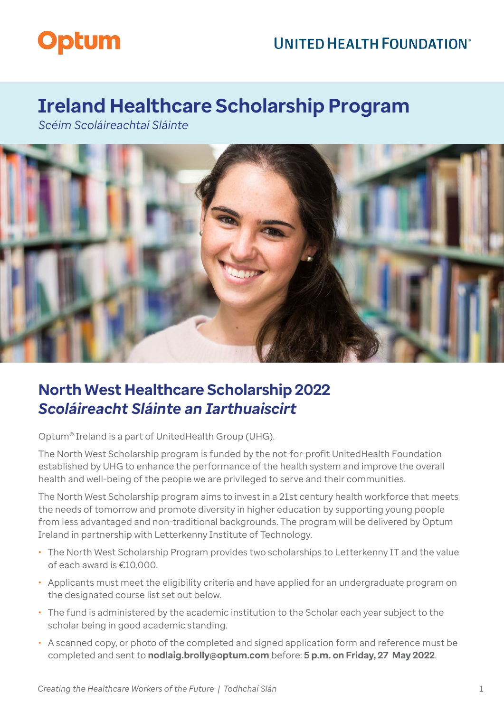## **UNITED HEALTH FOUNDATION®**



# **Ireland Healthcare Scholarship Program**

*Scéim Scoláireachtaí Sláinte*



## **North West Healthcare Scholarship 2022**  *Scoláireacht Sláinte an Iarthuaiscirt*

Optum® Ireland is a part of UnitedHealth Group (UHG).

The North West Scholarship program is funded by the not-for-profit UnitedHealth Foundation established by UHG to enhance the performance of the health system and improve the overall health and well-being of the people we are privileged to serve and their communities.

The North West Scholarship program aims to invest in a 21st century health workforce that meets the needs of tomorrow and promote diversity in higher education by supporting young people from less advantaged and non-traditional backgrounds. The program will be delivered by Optum Ireland in partnership with Letterkenny Institute of Technology.

- The North West Scholarship Program provides two scholarships to Letterkenny IT and the value of each award is €10,000.
- Applicants must meet the eligibility criteria and have applied for an undergraduate program on the designated course list set out below.
- The fund is administered by the academic institution to the Scholar each year subject to the scholar being in good academic standing.
- A scanned copy, or photo of the completed and signed application form and reference must be completed and sent to **[nodlaig.brolly@optum.com](mailto:nodlaig.brolly@optum.com)** before: **5 p.m. on Friday, 27 May 2022**.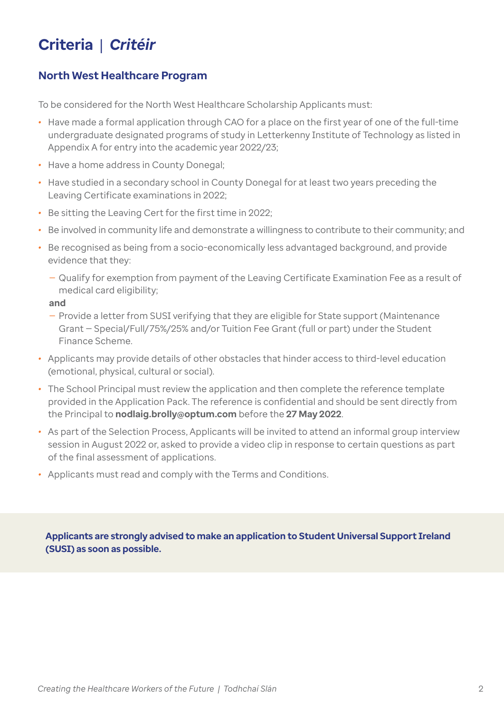# **Criteria** | *Critéir*

## **North West Healthcare Program**

To be considered for the North West Healthcare Scholarship Applicants must:

- *•* Have made a formal application through CAO for a place on the first year of one of the full-time undergraduate designated programs of study in Letterkenny Institute of Technology as listed in Appendix A for entry into the academic year 2022/23;
- *•* Have a home address in County Donegal;
- *•* Have studied in a secondary school in County Donegal for at least two years preceding the Leaving Certificate examinations in 2022;
- *•* Be sitting the Leaving Cert for the first time in 2022;
- *•* Be involved in community life and demonstrate a willingness to contribute to their community; and
- *•* Be recognised as being from a socio-economically less advantaged background, and provide evidence that they:
	- Qualify for exemption from payment of the Leaving Certificate Examination Fee as a result of medical card eligibility;

### **and**

- Provide a letter from SUSI verifying that they are eligible for State support (Maintenance Grant — Special/Full/75%/25% and/or Tuition Fee Grant (full or part) under the Student Finance Scheme.
- *•* Applicants may provide details of other obstacles that hinder access to third-level education (emotional, physical, cultural or social).
- *•* The School Principal must review the application and then complete the reference template provided in the Application Pack. The reference is confidential and should be sent directly from the Principal to **[nodlaig.brolly@optum.com](mailto:nodlaig.brolly@optum.com)** before the **27 May 2022**.
- *•* As part of the Selection Process, Applicants will be invited to attend an informal group interview session in August 2022 or, asked to provide a video clip in response to certain questions as part of the final assessment of applications.
- *•* Applicants must read and comply with the Terms and Conditions.

**Applicants are strongly advised to make an application to Student Universal Support Ireland (SUSI) as soon as possible.**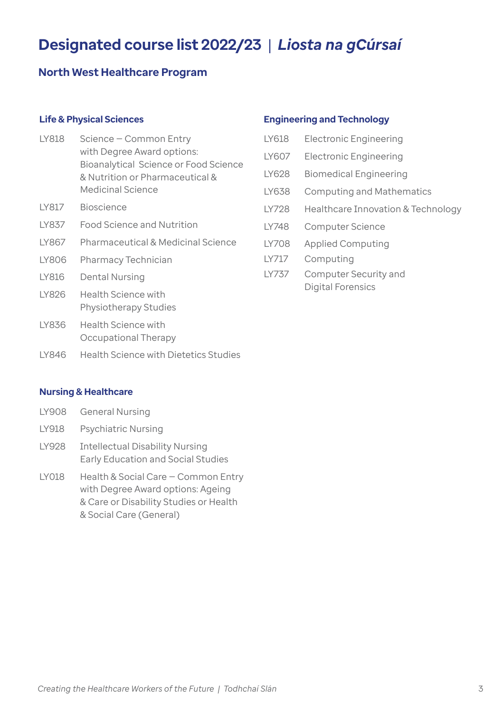# **Designated course list 2022/23** |*Liosta na gCúrsaí*

### **North West Healthcare Program**

### **Life & Physical Sciences**

- LY818 Science Common Entry with Degree Award options: Bioanalytical Science or Food Science & Nutrition or Pharmaceutical & Medicinal Science
- LY817 Bioscience
- LY837 Food Science and Nutrition
- LY867 Pharmaceutical & Medicinal Science
- LY806 Pharmacy Technician
- LY816 Dental Nursing
- LY826 Health Science with Physiotherapy Studies
- LY836 Health Science with Occupational Therapy
- LY846 Health Science with Dietetics Studies

#### **Engineering and Technology**

| LY618 | <b>Electronic Engineering</b>              |
|-------|--------------------------------------------|
| LY607 | <b>Electronic Engineering</b>              |
| IY628 | <b>Biomedical Engineering</b>              |
| IY638 | <b>Computing and Mathematics</b>           |
| IY728 | Healthcare Innovation & Technology         |
| IY748 | <b>Computer Science</b>                    |
| IY708 | <b>Applied Computing</b>                   |
| IY717 | Computing                                  |
| LY737 | Computer Security and<br>Digital Forensics |

#### **Nursing & Healthcare**

|       | LY908 General Nursing                                                               |
|-------|-------------------------------------------------------------------------------------|
| LY918 | <b>Psychiatric Nursing</b>                                                          |
| LY928 | <b>Intellectual Disability Nursing</b><br><b>Early Education and Social Studies</b> |
| LY018 | Health & Social Care - Common Entry                                                 |

with Degree Award options: Ageing & Care or Disability Studies or Health & Social Care (General)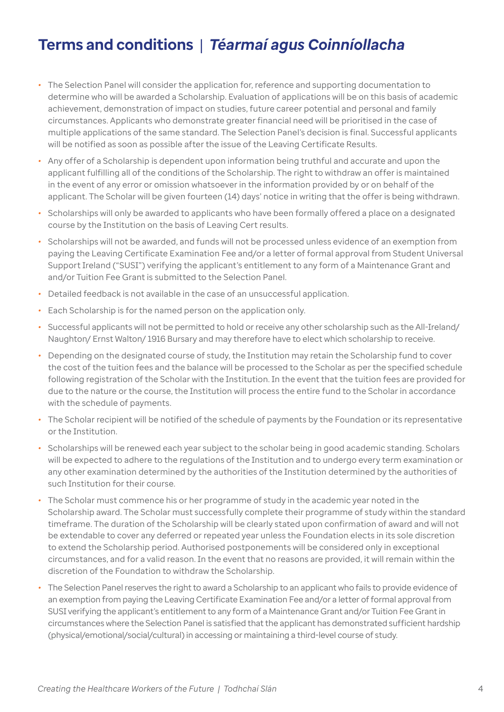# **Terms and conditions** |*Téarmaí agus Coinníollacha*

- *•* The Selection Panel will consider the application for, reference and supporting documentation to determine who will be awarded a Scholarship. Evaluation of applications will be on this basis of academic achievement, demonstration of impact on studies, future career potential and personal and family circumstances. Applicants who demonstrate greater financial need will be prioritised in the case of multiple applications of the same standard. The Selection Panel's decision is final. Successful applicants will be notified as soon as possible after the issue of the Leaving Certificate Results.
- *•* Any offer of a Scholarship is dependent upon information being truthful and accurate and upon the applicant fulfilling all of the conditions of the Scholarship. The right to withdraw an offer is maintained in the event of any error or omission whatsoever in the information provided by or on behalf of the applicant. The Scholar will be given fourteen (14) days' notice in writing that the offer is being withdrawn.
- *•* Scholarships will only be awarded to applicants who have been formally offered a place on a designated course by the Institution on the basis of Leaving Cert results.
- *•* Scholarships will not be awarded, and funds will not be processed unless evidence of an exemption from paying the Leaving Certificate Examination Fee and/or a letter of formal approval from Student Universal Support Ireland ("SUSI") verifying the applicant's entitlement to any form of a Maintenance Grant and and/or Tuition Fee Grant is submitted to the Selection Panel.
- *•* Detailed feedback is not available in the case of an unsuccessful application.
- *•* Each Scholarship is for the named person on the application only.
- *•* Successful applicants will not be permitted to hold or receive any other scholarship such as the All-Ireland/ Naughton/ Ernst Walton/ 1916 Bursary and may therefore have to elect which scholarship to receive.
- *•* Depending on the designated course of study, the Institution may retain the Scholarship fund to cover the cost of the tuition fees and the balance will be processed to the Scholar as per the specified schedule following registration of the Scholar with the Institution. In the event that the tuition fees are provided for due to the nature or the course, the Institution will process the entire fund to the Scholar in accordance with the schedule of payments.
- *•* The Scholar recipient will be notified of the schedule of payments by the Foundation or its representative or the Institution.
- *•* Scholarships will be renewed each year subject to the scholar being in good academic standing. Scholars will be expected to adhere to the regulations of the Institution and to undergo every term examination or any other examination determined by the authorities of the Institution determined by the authorities of such Institution for their course.
- *•* The Scholar must commence his or her programme of study in the academic year noted in the Scholarship award. The Scholar must successfully complete their programme of study within the standard timeframe. The duration of the Scholarship will be clearly stated upon confirmation of award and will not be extendable to cover any deferred or repeated year unless the Foundation elects in its sole discretion to extend the Scholarship period. Authorised postponements will be considered only in exceptional circumstances, and for a valid reason. In the event that no reasons are provided, it will remain within the discretion of the Foundation to withdraw the Scholarship.
- *•* The Selection Panel reserves the right to award a Scholarship to an applicant who fails to provide evidence of an exemption from paying the Leaving Certificate Examination Fee and/or a letter of formal approval from SUSI verifying the applicant's entitlement to any form of a Maintenance Grant and/or Tuition Fee Grant in circumstances where the Selection Panel is satisfied that the applicant has demonstrated sufficient hardship (physical/emotional/social/cultural) in accessing or maintaining a third-level course of study.